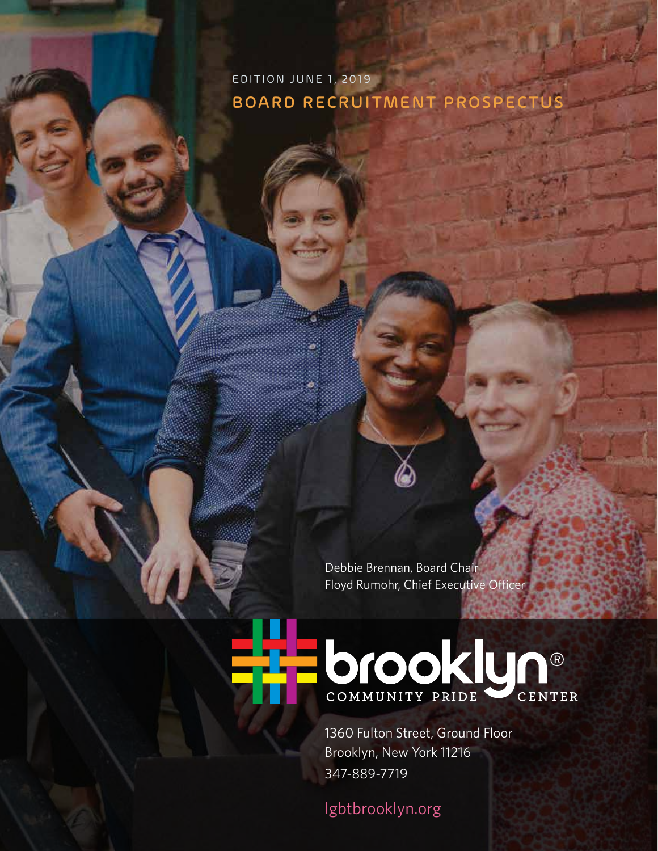EDITION JUNE 1, 2019 BOARD RECRUITMENT PROSPECTUS

> Debbie Brennan, Board Chair Floyd Rumohr, Chief Executive Officer

# COMMUNITY PRIDE CENTER

1360 Fulton Street, Ground Floor Brooklyn, New York 11216 347-889-7719

[lgbtbrooklyn.org](http://lgbtbrooklyn.org)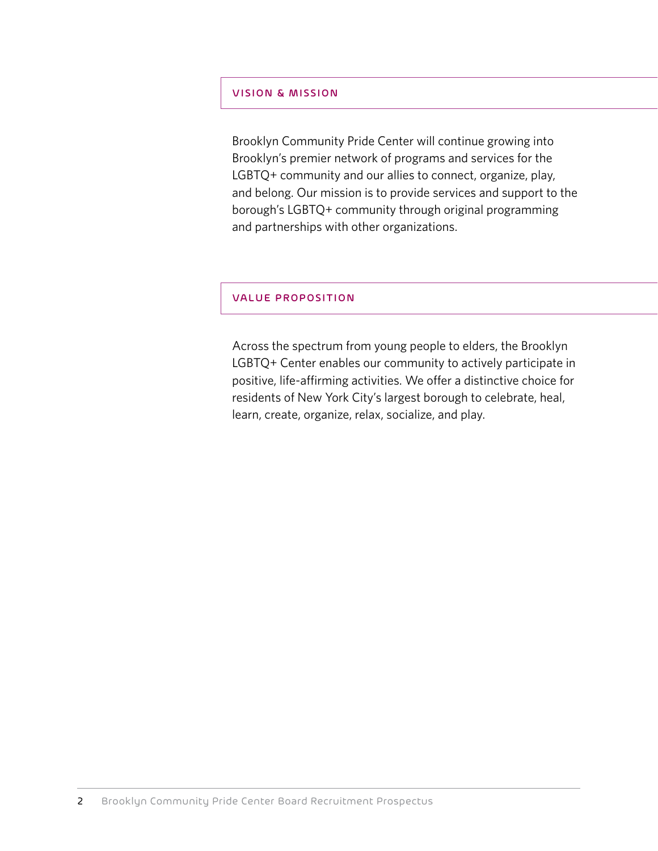#### VISION & MISSION

Brooklyn Community Pride Center will continue growing into Brooklyn's premier network of programs and services for the LGBTQ+ community and our allies to connect, organize, play, and belong. Our mission is to provide services and support to the borough's LGBTQ+ community through original programming and partnerships with other organizations.

#### VALUE PROPOSITION

Across the spectrum from young people to elders, the Brooklyn LGBTQ+ Center enables our community to actively participate in positive, life-affirming activities. We offer a distinctive choice for residents of New York City's largest borough to celebrate, heal, learn, create, organize, relax, socialize, and play.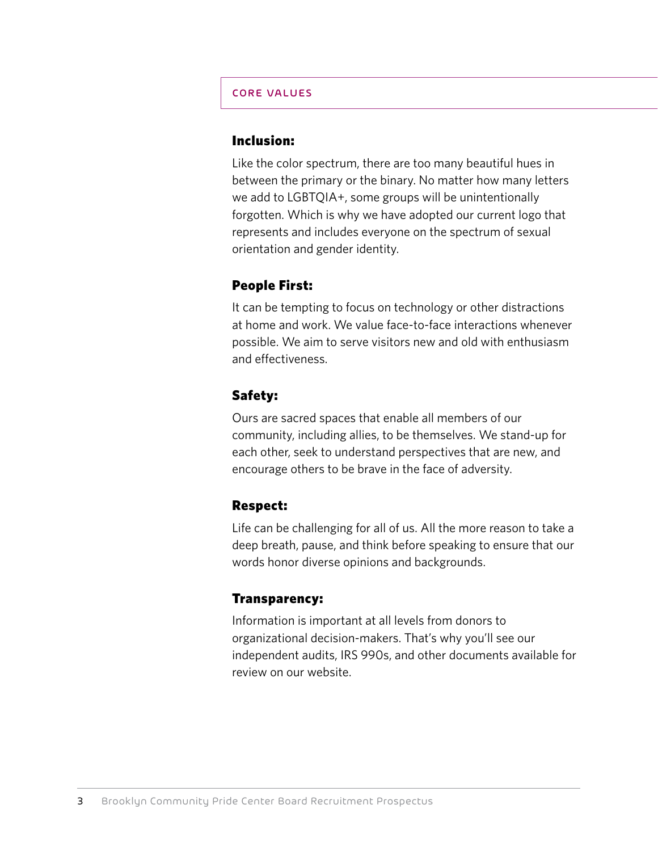## CORE VALUES

## Inclusion:

Like the color spectrum, there are too many beautiful hues in between the primary or the binary. No matter how many letters we add to LGBTQIA+, some groups will be unintentionally forgotten. Which is why we have adopted our current logo that represents and includes everyone on the spectrum of sexual orientation and gender identity.

## People First:

It can be tempting to focus on technology or other distractions at home and work. We value face-to-face interactions whenever possible. We aim to serve visitors new and old with enthusiasm and effectiveness.

## Safety:

Ours are sacred spaces that enable all members of our community, including allies, to be themselves. We stand-up for each other, seek to understand perspectives that are new, and encourage others to be brave in the face of adversity.

## Respect:

Life can be challenging for all of us. All the more reason to take a deep breath, pause, and think before speaking to ensure that our words honor diverse opinions and backgrounds.

## Transparency:

Information is important at all levels from donors to organizational decision-makers. That's why you'll see our independent audits, IRS 990s, and other documents available for review on our website.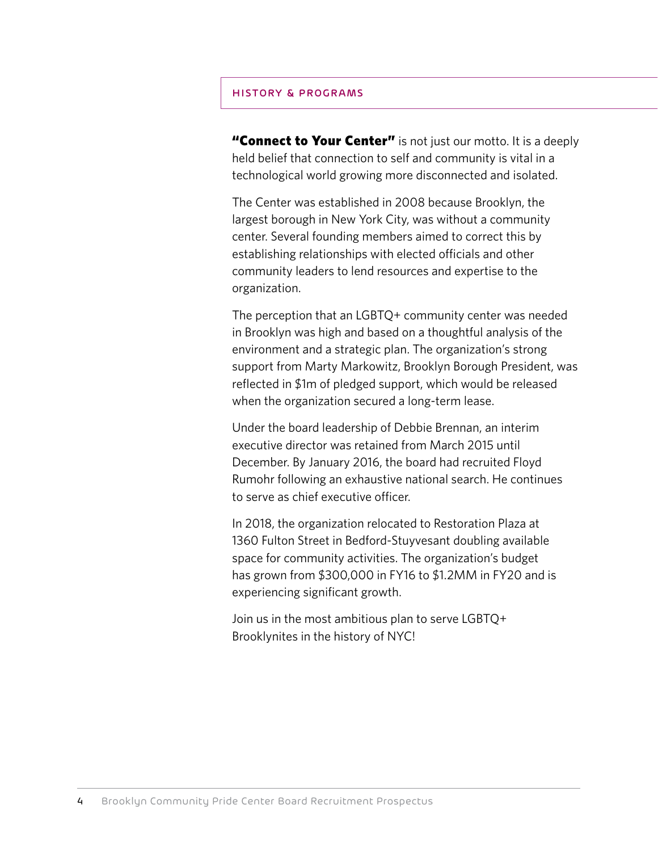#### HISTORY & PROGRAMS

"Connect to Your Center" is not just our motto. It is a deeply held belief that connection to self and community is vital in a technological world growing more disconnected and isolated.

The Center was established in 2008 because Brooklyn, the largest borough in New York City, was without a community center. Several founding members aimed to correct this by establishing relationships with elected officials and other community leaders to lend resources and expertise to the organization.

The perception that an LGBTQ+ community center was needed in Brooklyn was high and based on a thoughtful analysis of the environment and a strategic plan. The organization's strong support from Marty Markowitz, Brooklyn Borough President, was reflected in \$1m of pledged support, which would be released when the organization secured a long-term lease.

Under the board leadership of Debbie Brennan, an interim executive director was retained from March 2015 until December. By January 2016, the board had recruited Floyd Rumohr following an exhaustive national search. He continues to serve as chief executive officer.

In 2018, the organization relocated to Restoration Plaza at 1360 Fulton Street in Bedford-Stuyvesant doubling available space for community activities. The organization's budget has grown from \$300,000 in FY16 to \$1.2MM in FY20 and is experiencing significant growth.

Join us in the most ambitious plan to serve LGBTQ+ Brooklynites in the history of NYC!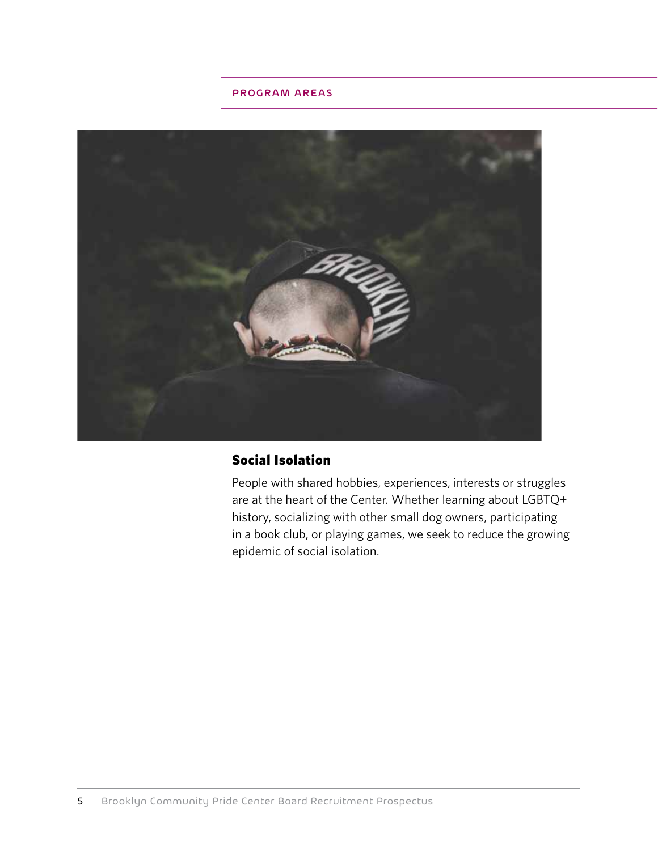## PROGRAM AREAS



# Social Isolation

People with shared hobbies, experiences, interests or struggles are at the heart of the Center. Whether learning about LGBTQ+ history, socializing with other small dog owners, participating in a book club, or playing games, we seek to reduce the growing epidemic of social isolation.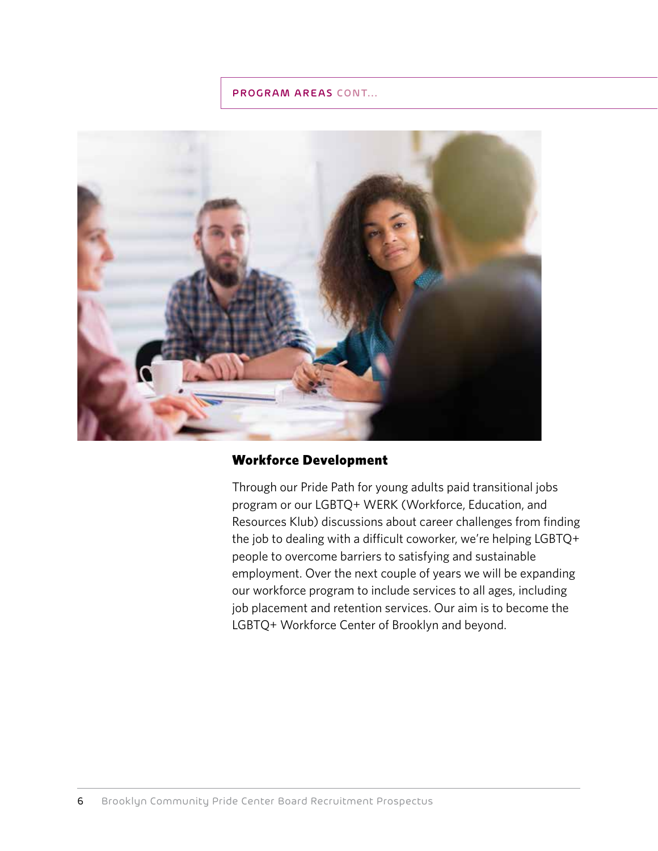

## Workforce Development

Through our Pride Path for young adults paid transitional jobs program or our LGBTQ+ WERK (Workforce, Education, and Resources Klub) discussions about career challenges from finding the job to dealing with a difficult coworker, we're helping LGBTQ+ people to overcome barriers to satisfying and sustainable employment. Over the next couple of years we will be expanding our workforce program to include services to all ages, including job placement and retention services. Our aim is to become the LGBTQ+ Workforce Center of Brooklyn and beyond.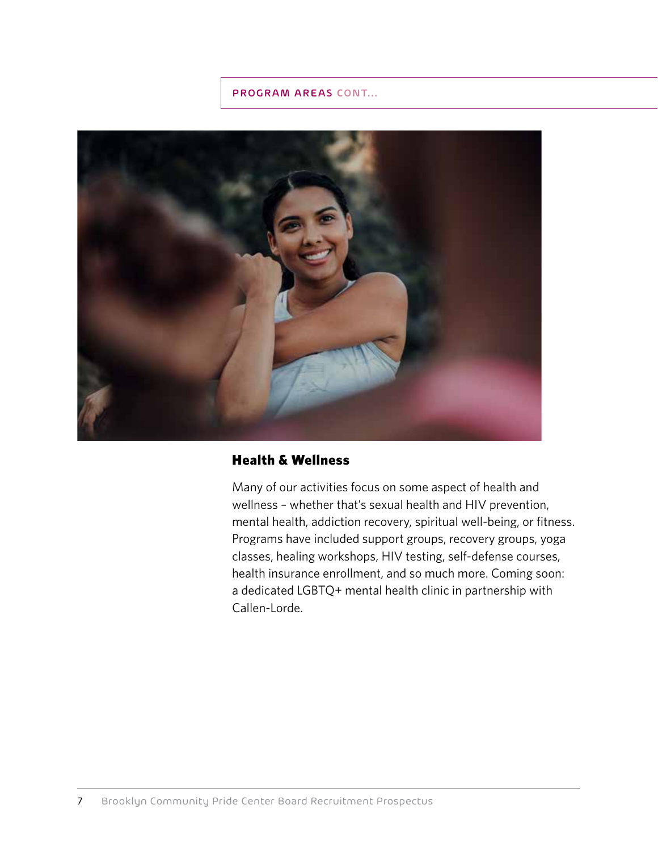

# Health & Wellness

Many of our activities focus on some aspect of health and wellness – whether that's sexual health and HIV prevention, mental health, addiction recovery, spiritual well-being, or fitness. Programs have included support groups, recovery groups, yoga classes, healing workshops, HIV testing, self-defense courses, health insurance enrollment, and so much more. Coming soon: a dedicated LGBTQ+ mental health clinic in partnership with Callen-Lorde.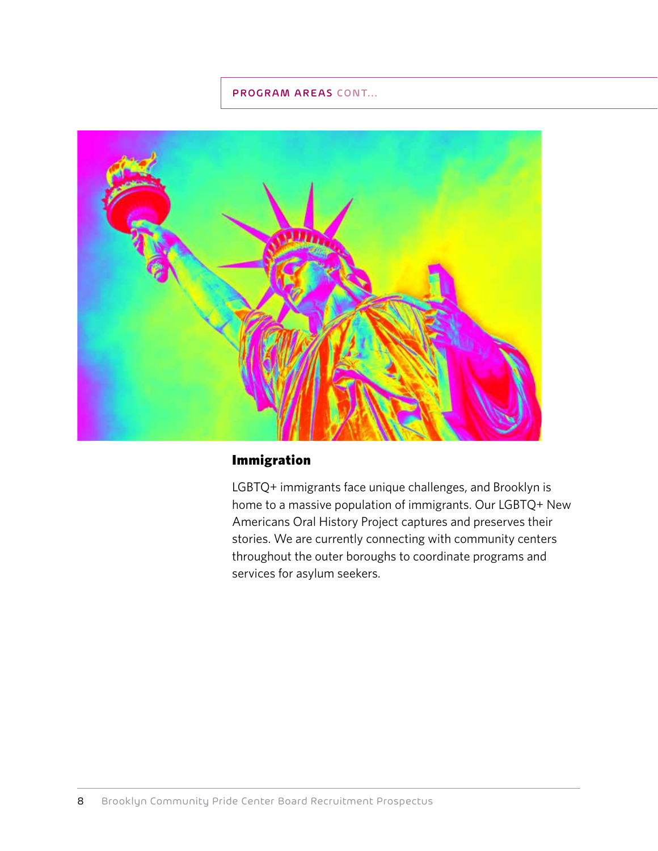

# Immigration

LGBTQ+ immigrants face unique challenges, and Brooklyn is home to a massive population of immigrants. Our LGBTQ+ New Americans Oral History Project captures and preserves their stories. We are currently connecting with community centers throughout the outer boroughs to coordinate programs and services for asylum seekers.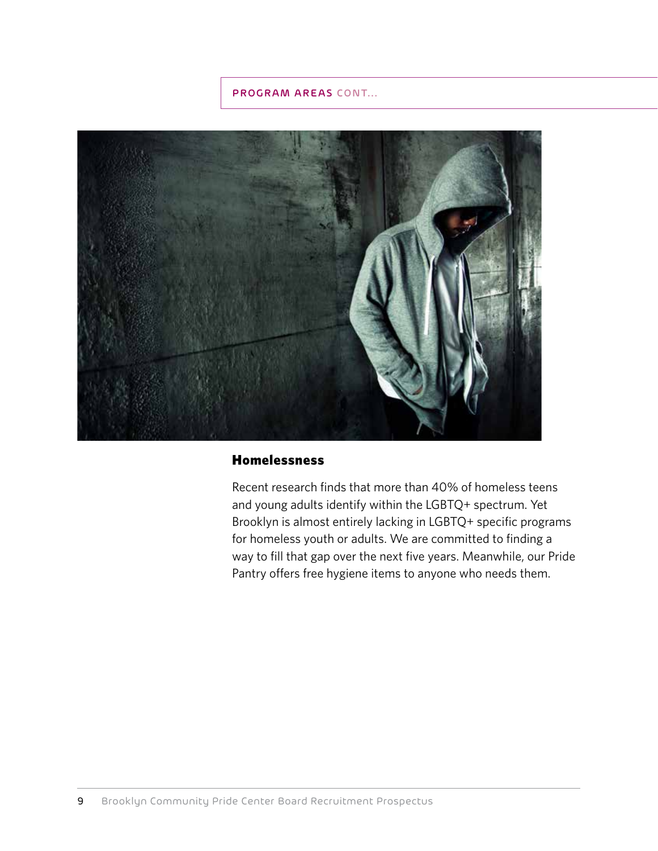

## **Homelessness**

Recent research finds that more than 40% of homeless teens and young adults identify within the LGBTQ+ spectrum. Yet Brooklyn is almost entirely lacking in LGBTQ+ specific programs for homeless youth or adults. We are committed to finding a way to fill that gap over the next five years. Meanwhile, our Pride Pantry offers free hygiene items to anyone who needs them.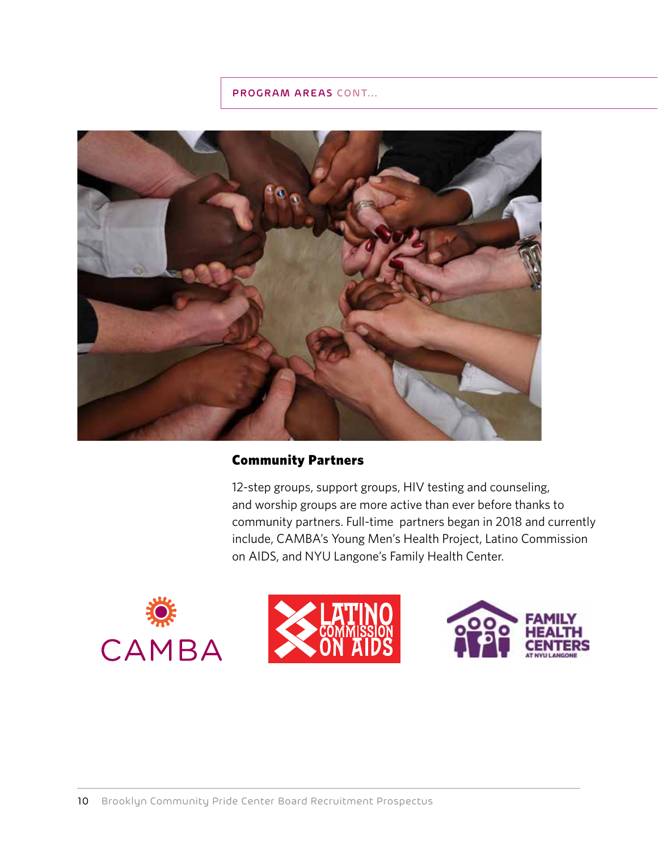

## Community Partners

12-step groups, support groups, HIV testing and counseling, and worship groups are more active than ever before thanks to community partners. Full-time partners began in 2018 and currently include, CAMBA's Young Men's Health Project, Latino Commission on AIDS, and NYU Langone's Family Health Center.





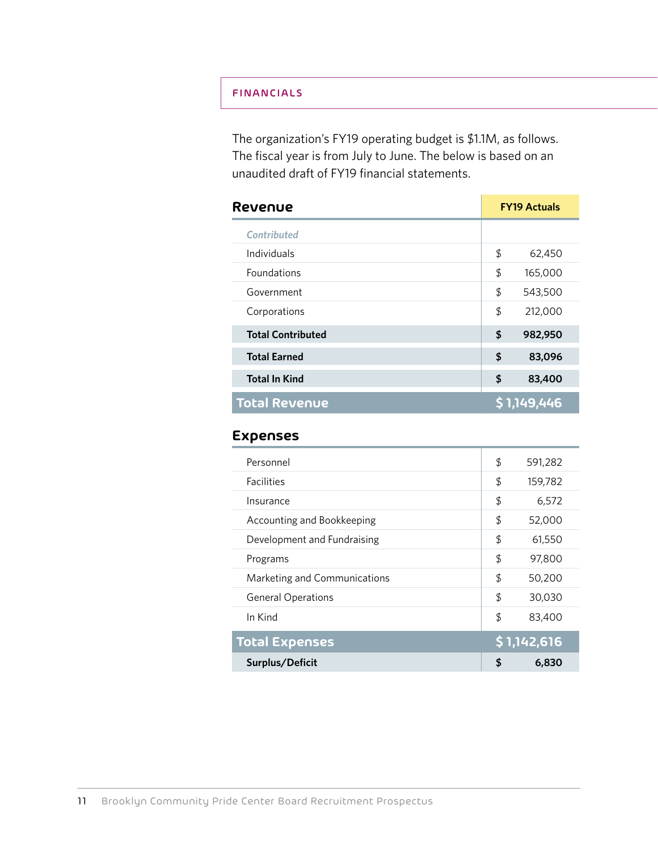## FINANCIALS

The organization's FY19 operating budget is \$1.1M, as follows. The fiscal year is from July to June. The below is based on an unaudited draft of FY19 financial statements.

| Revenue                  | <b>FY19 Actuals</b> |             |
|--------------------------|---------------------|-------------|
| <b>Contributed</b>       |                     |             |
| Individuals              | \$                  | 62,450      |
| <b>Foundations</b>       | \$                  | 165,000     |
| Government               | \$                  | 543,500     |
| Corporations             | \$                  | 212,000     |
| <b>Total Contributed</b> | \$                  | 982,950     |
| <b>Total Earned</b>      | \$                  | 83,096      |
| <b>Total In Kind</b>     | \$                  | 83,400      |
| <b>Total Revenue</b>     |                     | \$1,149,446 |

## **Expenses**

| Personnel                    | \$<br>591,282 |
|------------------------------|---------------|
| <b>Facilities</b>            | \$<br>159,782 |
| Insurance                    | \$<br>6,572   |
| Accounting and Bookkeeping   | \$<br>52,000  |
| Development and Fundraising  | \$<br>61,550  |
| Programs                     | \$<br>97,800  |
| Marketing and Communications | \$<br>50,200  |
| <b>General Operations</b>    | \$<br>30,030  |
| In Kind                      | \$<br>83,400  |
| <b>Total Expenses</b>        | \$1,142,616   |
| Surplus/Deficit              | \$<br>6,830   |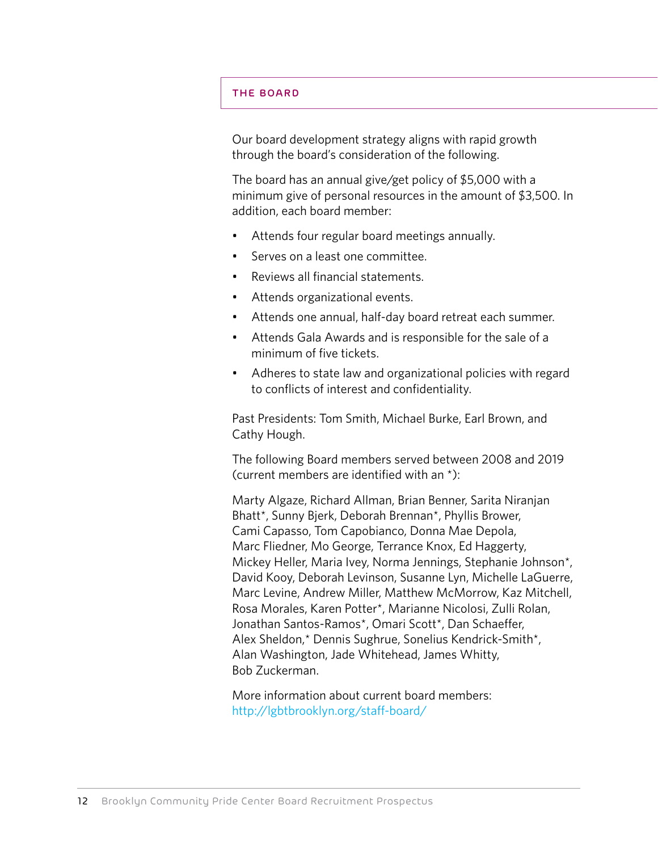#### THE BOARD

Our board development strategy aligns with rapid growth through the board's consideration of the following.

The board has an annual give/get policy of \$5,000 with a minimum give of personal resources in the amount of \$3,500. In addition, each board member:

- Attends four regular board meetings annually.
- Serves on a least one committee.
- Reviews all financial statements.
- Attends organizational events.
- Attends one annual, half-day board retreat each summer.
- Attends Gala Awards and is responsible for the sale of a minimum of five tickets.
- Adheres to state law and organizational policies with regard to conflicts of interest and confidentiality.

Past Presidents: Tom Smith, Michael Burke, Earl Brown, and Cathy Hough.

The following Board members served between 2008 and 2019 (current members are identified with an \*):

Marty Algaze, Richard Allman, Brian Benner, Sarita Niranjan Bhatt\*, Sunny Bjerk, Deborah Brennan\*, Phyllis Brower, Cami Capasso, Tom Capobianco, Donna Mae Depola, Marc Fliedner, Mo George, Terrance Knox, Ed Haggerty, Mickey Heller, Maria Ivey, Norma Jennings, Stephanie Johnson\*, David Kooy, Deborah Levinson, Susanne Lyn, Michelle LaGuerre, Marc Levine, Andrew Miller, Matthew McMorrow, Kaz Mitchell, Rosa Morales, Karen Potter\*, Marianne Nicolosi, Zulli Rolan, Jonathan Santos-Ramos\*, Omari Scott\*, Dan Schaeffer, Alex Sheldon,\* Dennis Sughrue, Sonelius Kendrick-Smith\*, Alan Washington, Jade Whitehead, James Whitty, Bob Zuckerman.

More information about current board members: http://lgbtbrooklyn.org/staff-board/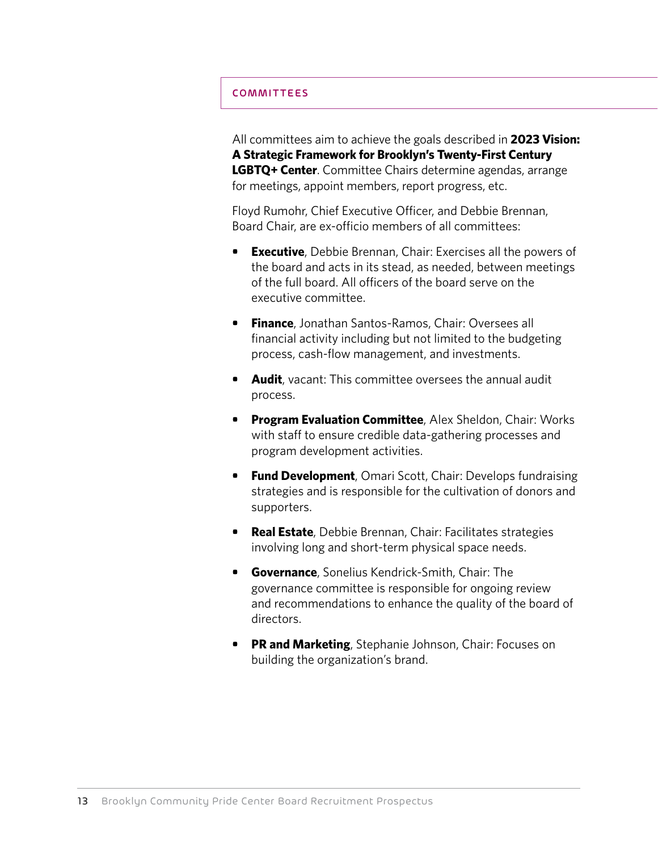#### COMMITTEES

All committees aim to achieve the goals described in **2023 Vision: A Strategic Framework for Brooklyn's Twenty-First Century LGBTQ+ Center**. Committee Chairs determine agendas, arrange for meetings, appoint members, report progress, etc.

Floyd Rumohr, Chief Executive Officer, and Debbie Brennan, Board Chair, are ex-officio members of all committees:

- **• Executive**, Debbie Brennan, Chair: Exercises all the powers of the board and acts in its stead, as needed, between meetings of the full board. All officers of the board serve on the executive committee.
- **• Finance**, Jonathan Santos-Ramos, Chair: Oversees all financial activity including but not limited to the budgeting process, cash-flow management, and investments.
- **• Audit**, vacant: This committee oversees the annual audit process.
- **• Program Evaluation Committee**, Alex Sheldon, Chair: Works with staff to ensure credible data-gathering processes and program development activities.
- **• Fund Development**, Omari Scott, Chair: Develops fundraising strategies and is responsible for the cultivation of donors and supporters.
- **• Real Estate**, Debbie Brennan, Chair: Facilitates strategies involving long and short-term physical space needs.
- **• Governance**, Sonelius Kendrick-Smith, Chair: The governance committee is responsible for ongoing review and recommendations to enhance the quality of the board of directors.
- **• PR and Marketing**, Stephanie Johnson, Chair: Focuses on building the organization's brand.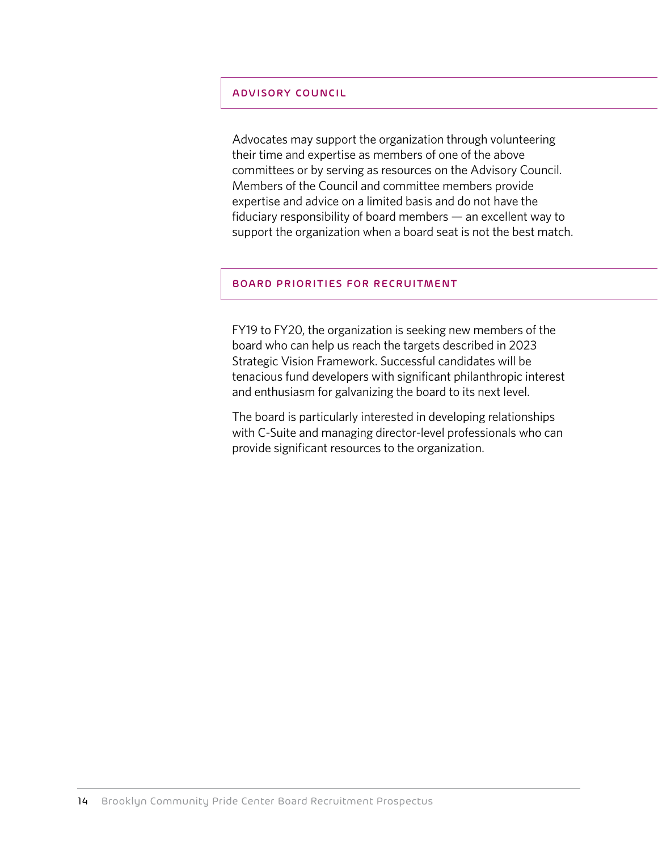#### ADVISORY COUNCIL

Advocates may support the organization through volunteering their time and expertise as members of one of the above committees or by serving as resources on the Advisory Council. Members of the Council and committee members provide expertise and advice on a limited basis and do not have the fiduciary responsibility of board members — an excellent way to support the organization when a board seat is not the best match.

#### BOARD PRIORITIES FOR RECRUITMENT

FY19 to FY20, the organization is seeking new members of the board who can help us reach the targets described in 2023 Strategic Vision Framework. Successful candidates will be tenacious fund developers with significant philanthropic interest and enthusiasm for galvanizing the board to its next level.

The board is particularly interested in developing relationships with C-Suite and managing director-level professionals who can provide significant resources to the organization.